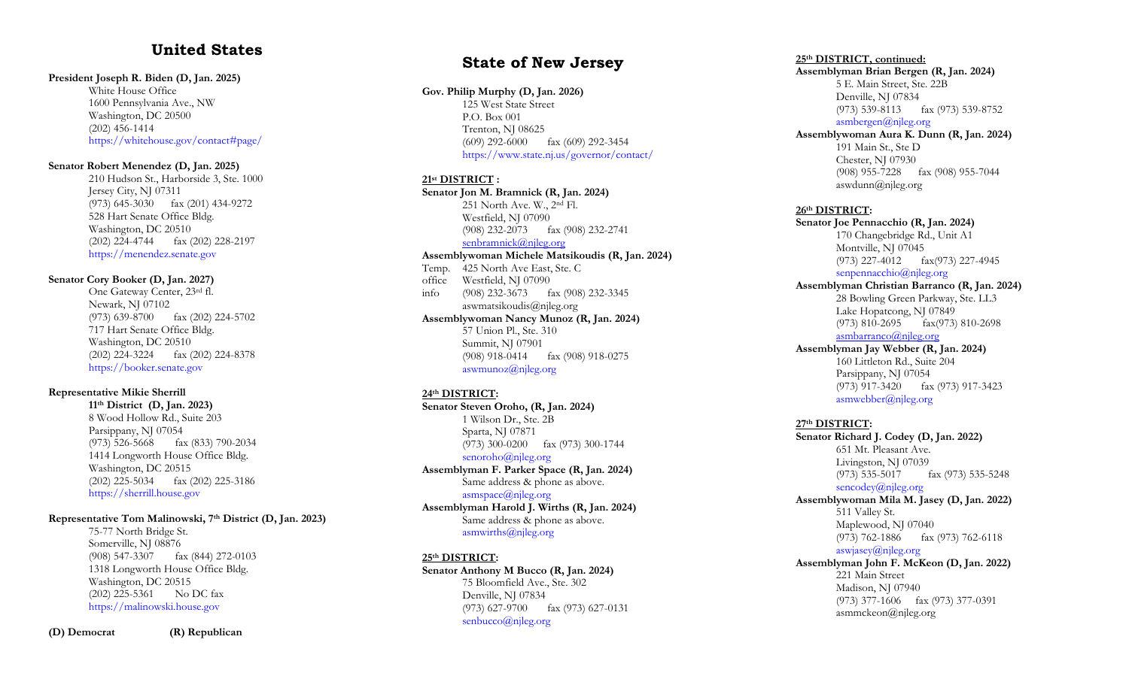# **United States**

#### **President Joseph R. Biden ( D, Jan. 20 2 5 )**

White House Office 1600 Pen nsylvania Ave., NW Washington, DC 20500 (202) 456 -1414 [https://whitehouse.gov/contact#](https://whitehouse.gov/contact)page/

#### **Senator Robert Menendez (D, Jan. 2025)**

210 Hudson St., Harborside 3, Ste. 1000 Jersey City, NJ 07311 (973) 645 -3030 fax (201) 434 -9272 528 Hart Senate Office Bldg. Washington, DC 20510 (202) 224 -4744 fax (202) 228 -2197 [https://menendez.senate.gov](https://menendez.senate.gov/)

#### **Senator Cory Booker (D, Jan. 20 2 7 )**

One Gateway Center, 23rd fl. Newark, NJ 07102 (973) 639 -8700 fax (202) 224 -5702 717 Hart Senate Office Bldg. Washington, DC 20510 (202) 224 -3224 fax (202) 224 -8378 [https://booker.senate.gov](https://booker.senate.gov/)

#### **Representative Mikie Sherrill**

**11th District (D, Jan. 202 3 )** 8 Wood Hollow Rd., Suite 203 Parsippany, NJ 07054 (973) 526 -5668 fax (833) 790 -2034 1414 Longworth House Office Bldg. Washington, DC 20515 (202) 225 -5034 fax (202) 225 -3186 [https://sherrill.house.gov](https://sherrill.house.gov/)

#### **Representative Tom Malinowski, 7th District (D, Jan. 202 3 )**

75 -77 North Bridge St. Somerville, NJ 08876 (908) 547 -3307 fax (844) 272 -0103 1318 Longworth House Office Bldg. Washington, DC 20515 (202) 225 -5361 No DC fax [https://malinowski.house.gov](https://malinowski.house.gov/)

# **State of New Jersey**

#### **Gov. Philip Murphy ( D, Jan. 202 6 )**

125 West State Street P.O. Box 001 Trenton, NJ 08625 (609) 292 -6000 fax (609) 292 -3454 <https://www.state.nj.us/governor/contact/>

#### **21st DISTRICT :**

**Senator Jon M. Bramnick (R, Jan. 202 4 )** 251 North Ave. W., 2nd Fl. Westfield, NJ 07090 (908) 232 -2073 fax (908) 232 -2741 [senbramnick@njleg.org](mailto:senbramnick@njleg.org)

**Assemblywoman Michele Matsikoudis (R, Jan. 202 4 )** Temp . 425 North Ave East, Ste. C office Westfield, NJ 07090 info (908) 232 -3673 fax (908) 232 -3345 aswmatsikoudis@njleg.org **Assemblywoman Nancy Munoz (R, Jan. 202 4 )** 57 Union Pl., Ste. 310 Summit, NJ 07901 (908) 918 -0414 fax (908) 918 -0275

 $a$ swmunoz $\omega$ njleg.org

#### **24th DISTRICT :**

**Senator Steven Oroho, (R, Jan. 202 4 )** 1 Wilson Dr., Ste. 2B Sparta, NJ 07871 (973) 300 -0200 fax (973) 300 -1744 [senoroho@njleg.org](mailto:senoroho@njleg.org) **Assemblyman F. Parker Space (R, Jan. 20 2 4 )** Same address & phone as above. [asmspace@njleg.org](mailto:asmchiusano@njleg.org) **Assemblyman Harold J. Wirths (R, Jan. 202 4 )** Same address & phone as above. [asmwirths@njleg.org](mailto:asmwirths@njleg.org)

#### **25th DISTRICT :**

**Senator Anthony M Bucco (R, Jan. 20 2 4 )** 75 Bloomfield Ave., Ste. 302 Denville, NJ 07834 (973) 627 -9700 fax (973) 627 -0131 [senbucco@njleg.org](mailto:senbucco@njleg.org)

#### **25th DISTRICT, continued:**

**Assemblyman Brian Bergen (R, Jan. 20 2 4 )** 5 E. Main Street, Ste. 22B Denville, NJ 07834 (973) 539 -8113 fax (973) 539 -8752 [asmbergen@njleg.org](mailto:asmbergen@njleg.org)

**Assemblywoman Aura K. Dunn (R, Jan. 20 2 4 )**

191 Main St., Ste D Chester, NJ 07930 (908) 955-7228 fax ( 908 ) 955 -7044 aswdunn@njleg.org

#### **26th DISTRICT:**

**Senator Joe Pennacchio (R, Jan. 202 4 )**

170 Changebridge Rd., Unit A1 Montville, NJ 07045 (973) 227 -4012 fax(973) 227 -4945 [senpennacchio@njleg.org](mailto:senpennacchio@njleg.org)

**Assemblyman Christian Barranco (R, Jan. 202 4 )** 28 Bowling Green Parkway, Ste. LL3 Lake Hopatcong, NJ 07849 (973) 810 -2695 fax(973) 810 -2698 [asmbarranco@njleg.org](mailto:asmbarranco@njleg.org)

**Assemblyman Jay Webber (R, Jan. 202 4 )** 160 Littleton Rd., Suite 204 Parsippany, NJ 07054 (973) 917 -3420 fax (973) 917 -3423 [asmwebber@njleg.org](mailto:asmwebber@njleg.org)

#### **27th DISTRICT:**

**Senator Richard J. Codey (D, Jan. 2022 )** 651 Mt. Pleasant Ave. Livingston, NJ 07039 (973) 535 -5017 fax (973) 535 -5248 [sencodey@njleg.org](mailto:sencodey@njleg.org) **Assemblywoman Mila M. Jasey (D, Jan. 2022 )** 511 Valley St. Maplewood, NJ 07040 (973) 762 -1886 fax (973) 762 -6118 [aswjasey@njleg.org](mailto:aswjasey@njleg.org) **Assemblyman John F. McKeon (D, Jan. 2022 )**

# 221 Main Street

Madison, NJ 07940 (973) 377 -1606 fax (973) 377 -0391 asmmckeon@njleg.org

**(D) Democrat (R) Republican**